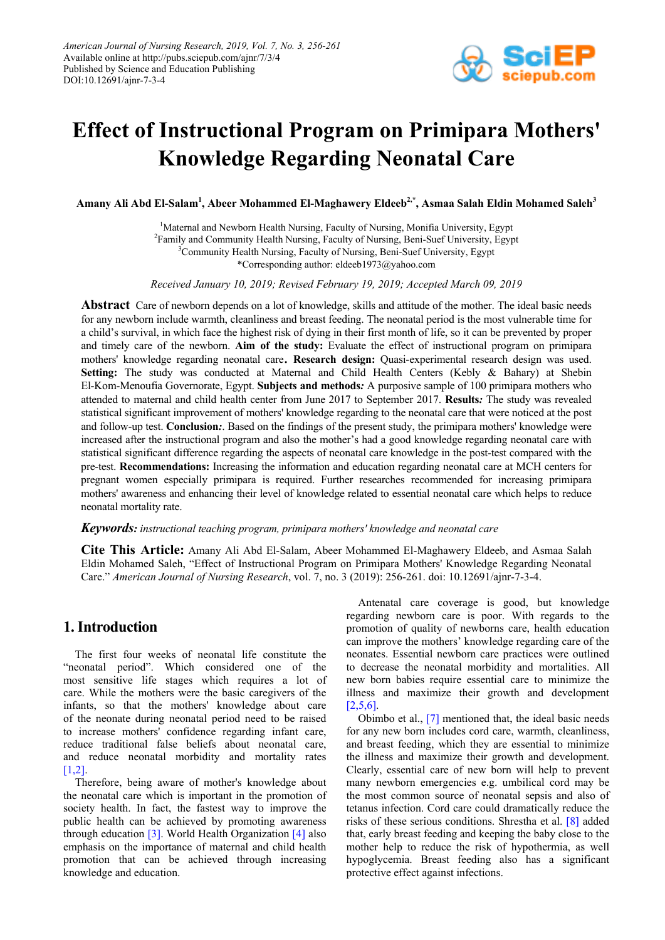

# **Effect of Instructional Program on Primipara Mothers' Knowledge Regarding Neonatal Care**

Amany Ali Abd El-Salam<sup>1</sup>, Abeer Mohammed El-Maghawery Eldeeb<sup>2,\*</sup>, Asmaa Salah Eldin Mohamed Saleh<sup>3</sup>

<sup>1</sup>Maternal and Newborn Health Nursing, Faculty of Nursing, Monifia University, Egypt <sup>2</sup>Family and Community Health Nursing, Faculty of Nursing, Beni-Suef University, Egypt <sup>3</sup>Community Health Nursing, Faculty of Nursing, Beni-Suef University, Egypt \*Corresponding author: eldeeb1973@yahoo.com

*Received January 10, 2019; Revised February 19, 2019; Accepted March 09, 2019*

**Abstract** Care of newborn depends on a lot of knowledge, skills and attitude of the mother. The ideal basic needs for any newborn include warmth, cleanliness and breast feeding. The neonatal period is the most vulnerable time for a child's survival, in which face the highest risk of dying in their first month of life, so it can be prevented by proper and timely care of the newborn. **Aim of the study:** Evaluate the effect of instructional program on primipara mothers' knowledge regarding neonatal care. **Research design:** Quasi-experimental research design was used. **Setting:** The study was conducted at Maternal and Child Health Centers (Kebly & Bahary) at Shebin El-Kom-Menoufia Governorate, Egypt. **Subjects and methods***:* A purposive sample of 100 primipara mothers who attended to maternal and child health center from June 2017 to September 2017. **Results***:* The study was revealed statistical significant improvement of mothers' knowledge regarding to the neonatal care that were noticed at the post and follow-up test. **Conclusion***:*. Based on the findings of the present study, the primipara mothers' knowledge were increased after the instructional program and also the mother's had a good knowledge regarding neonatal care with statistical significant difference regarding the aspects of neonatal care knowledge in the post-test compared with the pre-test. **Recommendations:** Increasing the information and education regarding neonatal care at MCH centers for pregnant women especially primipara is required. Further researches recommended for increasing primipara mothers' awareness and enhancing their level of knowledge related to essential neonatal care which helps to reduce neonatal mortality rate.

#### *Keywords: instructional teaching program, primipara mothers' knowledge and neonatal care*

**Cite This Article:** Amany Ali Abd El-Salam, Abeer Mohammed El-Maghawery Eldeeb, and Asmaa Salah Eldin Mohamed Saleh, "Effect of Instructional Program on Primipara Mothers' Knowledge Regarding Neonatal Care." *American Journal of Nursing Research*, vol. 7, no. 3 (2019): 256-261. doi: 10.12691/ajnr-7-3-4.

## **1. Introduction**

The first four weeks of neonatal life constitute the "neonatal period". Which considered one of the most sensitive life stages which requires a lot of care. While the mothers were the basic caregivers of the infants, so that the mothers' knowledge about care of the neonate during neonatal period need to be raised to increase mothers' confidence regarding infant care, reduce traditional false beliefs about neonatal care, and reduce neonatal morbidity and mortality rates  $[1,2]$ .

Therefore, being aware of mother's knowledge about the neonatal care which is important in the promotion of society health. In fact, the fastest way to improve the public health can be achieved by promoting awareness through education [\[3\].](#page-5-1) World Health Organizatio[n \[4\]](#page-5-2) also emphasis on the importance of maternal and child health promotion that can be achieved through increasing knowledge and education.

Antenatal care coverage is good, but knowledge regarding newborn care is poor. With regards to the promotion of quality of newborns care, health education can improve the mothers' knowledge regarding care of the neonates. Essential newborn care practices were outlined to decrease the neonatal morbidity and mortalities. All new born babies require essential care to minimize the illness and maximize their growth and development [\[2,5,6\].](#page-5-3)

Obimbo et al., [\[7\]](#page-5-4) mentioned that, the ideal basic needs for any new born includes cord care, warmth, cleanliness, and breast feeding, which they are essential to minimize the illness and maximize their growth and development. Clearly, essential care of new born will help to prevent many newborn emergencies e.g. umbilical cord may be the most common source of neonatal sepsis and also of tetanus infection. Cord care could dramatically reduce the risks of these serious conditions. Shrestha et al. [\[8\]](#page-5-5) added that, early breast feeding and keeping the baby close to the mother help to reduce the risk of hypothermia, as well hypoglycemia. Breast feeding also has a significant protective effect against infections.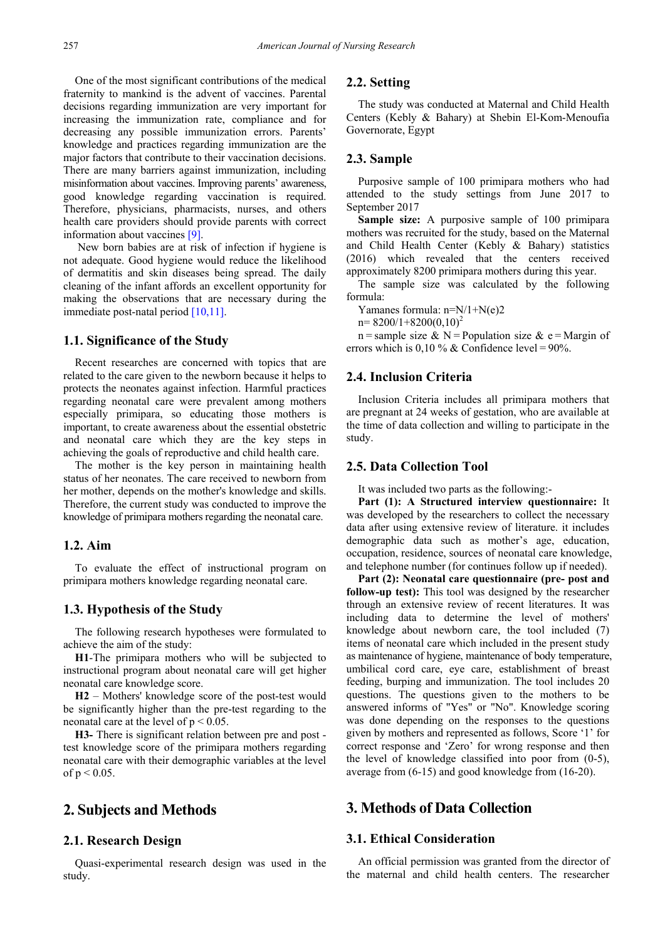One of the most significant contributions of the medical fraternity to mankind is the advent of vaccines. Parental decisions regarding immunization are very important for increasing the immunization rate, compliance and for decreasing any possible immunization errors. Parents' knowledge and practices regarding immunization are the major factors that contribute to their vaccination decisions. There are many barriers against immunization, including misinformation about vaccines. Improving parents' awareness, good knowledge regarding vaccination is required. Therefore, physicians, pharmacists, nurses, and others health care providers should provide parents with correct information about vaccines [\[9\].](#page-5-6)

New born babies are at risk of infection if hygiene is not adequate. Good hygiene would reduce the likelihood of dermatitis and skin diseases being spread. The daily cleaning of the infant affords an excellent opportunity for making the observations that are necessary during the immediate post-natal period [\[10,11\].](#page-5-7)

#### **1.1. Significance of the Study**

Recent researches are concerned with topics that are related to the care given to the newborn because it helps to protects the neonates against infection. Harmful practices regarding neonatal care were prevalent among mothers especially primipara, so educating those mothers is important, to create awareness about the essential obstetric and neonatal care which they are the key steps in achieving the goals of reproductive and child health care.

The mother is the key person in maintaining health status of her neonates. The care received to newborn from her mother, depends on the mother's knowledge and skills. Therefore, the current study was conducted to improve the knowledge of primipara mothers regarding the neonatal care.

#### **1.2. Aim**

To evaluate the effect of instructional program on primipara mothers knowledge regarding neonatal care.

#### **1.3. Hypothesis of the Study**

The following research hypotheses were formulated to achieve the aim of the study:

**H1**-The primipara mothers who will be subjected to instructional program about neonatal care will get higher neonatal care knowledge score.

**H2** – Mothers' knowledge score of the post-test would be significantly higher than the pre-test regarding to the neonatal care at the level of  $p < 0.05$ .

**H3-** There is significant relation between pre and post test knowledge score of the primipara mothers regarding neonatal care with their demographic variables at the level of  $p < 0.05$ .

## **2. Subjects and Methods**

#### **2.1. Research Design**

Quasi-experimental research design was used in the study.

## **2.2. Setting**

The study was conducted at Maternal and Child Health Centers (Kebly & Bahary) at Shebin El-Kom-Menoufia Governorate, Egypt

#### **2.3. Sample**

Purposive sample of 100 primipara mothers who had attended to the study settings from June 2017 to September 2017

**Sample size:** A purposive sample of 100 primipara mothers was recruited for the study, based on the Maternal and Child Health Center (Kebly & Bahary) statistics (2016) which revealed that the centers received approximately 8200 primipara mothers during this year.

The sample size was calculated by the following formula:

Yamanes formula: n=N/1+N(e)2

 $n= 8200/1+8200(0,10)^2$ 

n = sample size & N = Population size & e = Margin of errors which is  $0.10\%$  & Confidence level = 90%.

## **2.4. Inclusion Criteria**

Inclusion Criteria includes all primipara mothers that are pregnant at 24 weeks of gestation, who are available at the time of data collection and willing to participate in the study.

#### **2.5. Data Collection Tool**

It was included two parts as the following:-

**Part (1): A Structured interview questionnaire:** It was developed by the researchers to collect the necessary data after using extensive review of literature. it includes demographic data such as mother's age, education, occupation, residence, sources of neonatal care knowledge, and telephone number (for continues follow up if needed).

**Part (2): Neonatal care questionnaire (pre- post and follow-up test):** This tool was designed by the researcher through an extensive review of recent literatures. It was including data to determine the level of mothers' knowledge about newborn care, the tool included (7) items of neonatal care which included in the present study as maintenance of hygiene, maintenance of body temperature, umbilical cord care, eye care, establishment of breast feeding, burping and immunization. The tool includes 20 questions. The questions given to the mothers to be answered informs of "Yes" or "No". Knowledge scoring was done depending on the responses to the questions given by mothers and represented as follows, Score '1' for correct response and 'Zero' for wrong response and then the level of knowledge classified into poor from (0-5), average from (6-15) and good knowledge from (16-20).

# **3. Methods of Data Collection**

## **3.1. Ethical Consideration**

An official permission was granted from the director of the maternal and child health centers. The researcher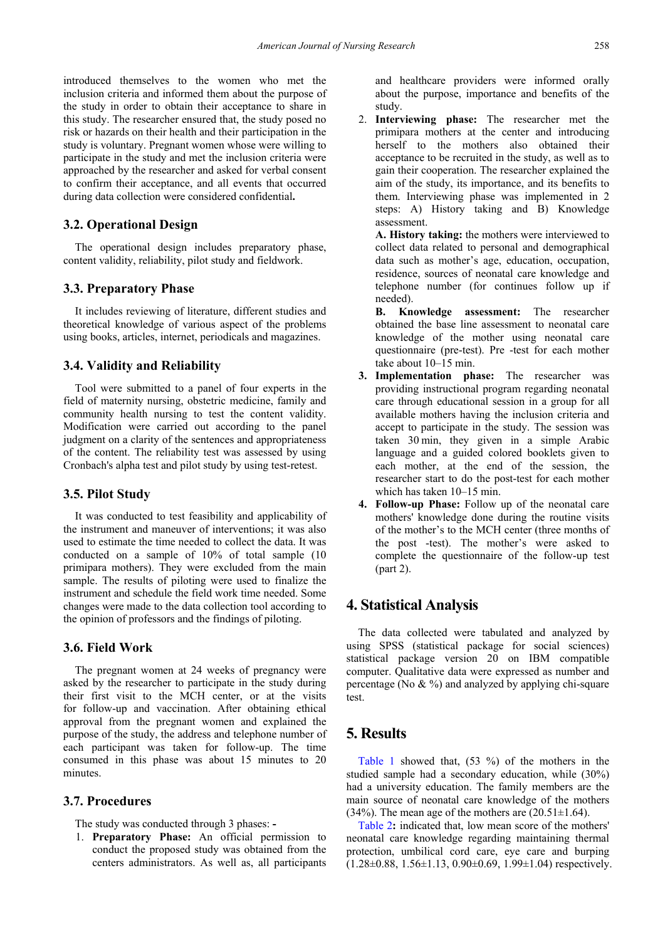introduced themselves to the women who met the inclusion criteria and informed them about the purpose of the study in order to obtain their acceptance to share in this study. The researcher ensured that, the study posed no risk or hazards on their health and their participation in the study is voluntary. Pregnant women whose were willing to participate in the study and met the inclusion criteria were approached by the researcher and asked for verbal consent to confirm their acceptance, and all events that occurred during data collection were considered confidential**.**

## **3.2. Operational Design**

The operational design includes preparatory phase, content validity, reliability, pilot study and fieldwork.

## **3.3. Preparatory Phase**

It includes reviewing of literature, different studies and theoretical knowledge of various aspect of the problems using books, articles, internet, periodicals and magazines.

## **3.4. Validity and Reliability**

Tool were submitted to a panel of four experts in the field of maternity nursing, obstetric medicine, family and community health nursing to test the content validity. Modification were carried out according to the panel judgment on a clarity of the sentences and appropriateness of the content. The reliability test was assessed by using Cronbach's alpha test and pilot study by using test-retest.

## **3.5. Pilot Study**

It was conducted to test feasibility and applicability of the instrument and maneuver of interventions; it was also used to estimate the time needed to collect the data. It was conducted on a sample of 10% of total sample (10 primipara mothers). They were excluded from the main sample. The results of piloting were used to finalize the instrument and schedule the field work time needed. Some changes were made to the data collection tool according to the opinion of professors and the findings of piloting.

#### **3.6. Field Work**

The pregnant women at 24 weeks of pregnancy were asked by the researcher to participate in the study during their first visit to the MCH center, or at the visits for follow-up and vaccination. After obtaining ethical approval from the pregnant women and explained the purpose of the study, the address and telephone number of each participant was taken for follow-up. The time consumed in this phase was about 15 minutes to 20 minutes.

## **3.7. Procedures**

The study was conducted through 3 phases: **-**

1. **Preparatory Phase:** An official permission to conduct the proposed study was obtained from the centers administrators. As well as, all participants and healthcare providers were informed orally about the purpose, importance and benefits of the study.

2. **Interviewing phase:** The researcher met the primipara mothers at the center and introducing herself to the mothers also obtained their acceptance to be recruited in the study, as well as to gain their cooperation. The researcher explained the aim of the study, its importance, and its benefits to them. Interviewing phase was implemented in 2 steps: A) History taking and B) Knowledge assessment.

**A. History taking:** the mothers were interviewed to collect data related to personal and demographical data such as mother's age, education, occupation, residence, sources of neonatal care knowledge and telephone number (for continues follow up if needed).

**B. Knowledge assessment:** The researcher obtained the base line assessment to neonatal care knowledge of the mother using neonatal care questionnaire (pre-test). Pre -test for each mother take about 10–15 min.

- **3. Implementation phase:** The researcher was providing instructional program regarding neonatal care through educational session in a group for all available mothers having the inclusion criteria and accept to participate in the study. The session was taken 30 min, they given in a simple Arabic language and a guided colored booklets given to each mother, at the end of the session, the researcher start to do the post-test for each mother which has taken 10–15 min.
- **4. Follow-up Phase:** Follow up of the neonatal care mothers' knowledge done during the routine visits of the mother's to the MCH center (three months of the post -test). The mother's were asked to complete the questionnaire of the follow-up test (part 2).

# **4. Statistical Analysis**

The data collected were tabulated and analyzed by using SPSS (statistical package for social sciences) statistical package version 20 on IBM compatible computer. Qualitative data were expressed as number and percentage (No  $\& \frac{9}{9}$ ) and analyzed by applying chi-square test.

## **5. Results**

[Table 1](#page-3-0) showed that, (53 %) of the mothers in the studied sample had a secondary education, while (30%) had a university education. The family members are the main source of neonatal care knowledge of the mothers  $(34\%)$ . The mean age of the mothers are  $(20.51\pm1.64)$ .

[Table 2](#page-3-1)**:** indicated that, low mean score of the mothers' neonatal care knowledge regarding maintaining thermal protection, umbilical cord care, eye care and burping  $(1.28\pm0.88, 1.56\pm1.13, 0.90\pm0.69, 1.99\pm1.04)$  respectively.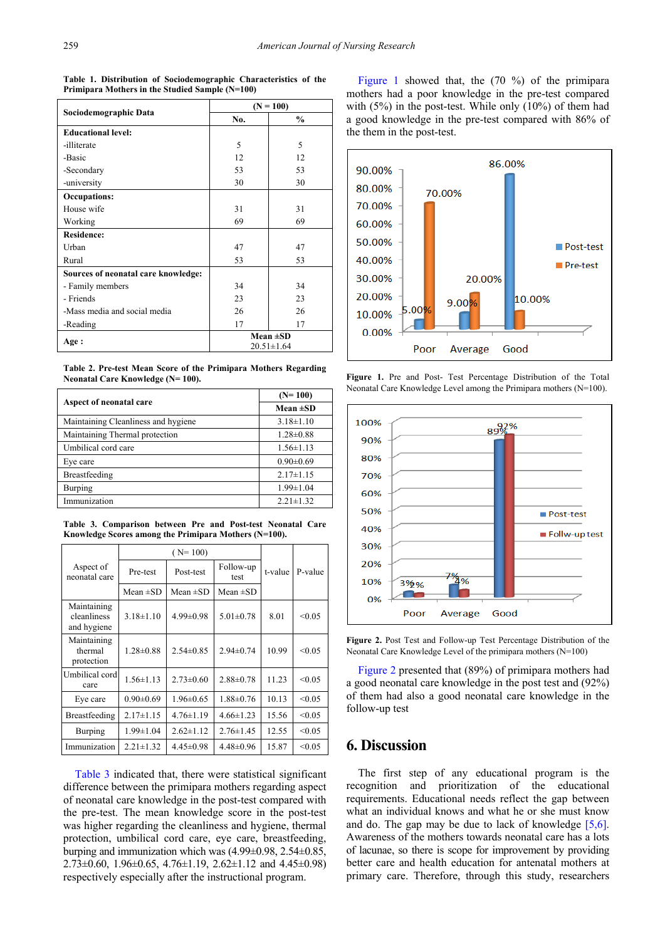<span id="page-3-0"></span>

|                                     | $(N = 100)$                       |               |  |
|-------------------------------------|-----------------------------------|---------------|--|
| Sociodemographic Data               | No.                               | $\frac{0}{0}$ |  |
| <b>Educational level:</b>           |                                   |               |  |
| -illiterate                         | 5                                 | 5             |  |
| -Basic                              | 12                                | 12            |  |
| -Secondary                          | 53                                | 53            |  |
| -university                         | 30                                | 30            |  |
| Occupations:                        |                                   |               |  |
| House wife                          | 31                                | 31            |  |
| Working                             | 69                                | 69            |  |
| <b>Residence:</b>                   |                                   |               |  |
| Urban                               | 47                                | 47            |  |
| Rural                               | 53                                | 53            |  |
| Sources of neonatal care knowledge: |                                   |               |  |
| - Family members                    | 34                                | 34            |  |
| - Friends                           | 23                                | 23            |  |
| -Mass media and social media        | 26                                | 26            |  |
| -Reading                            | 17                                | 17            |  |
| Age:                                | Mean $\pm SD$<br>$20.51 \pm 1.64$ |               |  |

**Table 1. Distribution of Sociodemographic Characteristics of the Primipara Mothers in the Studied Sample (N=100)**

**Table 2. Pre-test Mean Score of the Primipara Mothers Regarding Neonatal Care Knowledge (N= 100).**

<span id="page-3-1"></span>

|                                     | $(N=100)$       |  |
|-------------------------------------|-----------------|--|
| Aspect of neonatal care             | Mean $\pm SD$   |  |
| Maintaining Cleanliness and hygiene | $3.18 \pm 1.10$ |  |
| Maintaining Thermal protection      | $1.28 \pm 0.88$ |  |
| Umbilical cord care                 | $1.56 \pm 1.13$ |  |
| Eye care                            | $0.90 \pm 0.69$ |  |
| Breastfeeding                       | $2.17\pm1.15$   |  |
| <b>Burping</b>                      | $1.99 \pm 1.04$ |  |
| Immunization                        | $2.21 \pm 1.32$ |  |

**Table 3. Comparison between Pre and Post-test Neonatal Care Knowledge Scores among the Primipara Mothers (N=100).**

<span id="page-3-2"></span>

|                                           | $(N=100)$       |                 |                   |         |         |
|-------------------------------------------|-----------------|-----------------|-------------------|---------|---------|
| Aspect of<br>neonatal care                | Pre-test        | Post-test       | Follow-up<br>test | t-value | P-value |
|                                           | Mean $\pm SD$   | Mean $\pm$ SD   | Mean $\pm SD$     |         |         |
| Maintaining<br>cleanliness<br>and hygiene | $3.18 \pm 1.10$ | $4.99 \pm 0.98$ | $5.01 \pm 0.78$   | 8.01    | < 0.05  |
| Maintaining<br>thermal<br>protection      | $1.28 \pm 0.88$ | $2.54\pm0.85$   | $2.94\pm 0.74$    | 10.99   | < 0.05  |
| Umbilical cord<br>care                    | $1.56 \pm 1.13$ | $2.73 \pm 0.60$ | $2.88 \pm 0.78$   | 11.23   | < 0.05  |
| Eye care                                  | $0.90 \pm 0.69$ | $1.96 \pm 0.65$ | $1.88 \pm 0.76$   | 10.13   | < 0.05  |
| <b>Breastfeeding</b>                      | $2.17 \pm 1.15$ | $4.76 \pm 1.19$ | $4.66 \pm 1.23$   | 15.56   | < 0.05  |
| <b>Burping</b>                            | $1.99 \pm 1.04$ | $2.62 \pm 1.12$ | $2.76 \pm 1.45$   | 12.55   | < 0.05  |
| Immunization                              | $2.21 \pm 1.32$ | $4.45 \pm 0.98$ | $4.48 \pm 0.96$   | 15.87   | < 0.05  |

[Table 3](#page-3-2) indicated that, there were statistical significant difference between the primipara mothers regarding aspect of neonatal care knowledge in the post-test compared with the pre-test. The mean knowledge score in the post-test was higher regarding the cleanliness and hygiene, thermal protection, umbilical cord care, eye care, breastfeeding, burping and immunization which was (4.99±0.98, 2.54±0.85, 2.73 $\pm$ 0.60, 1.96 $\pm$ 0.65, 4.76 $\pm$ 1.19, 2.62 $\pm$ 1.12 and 4.45 $\pm$ 0.98) respectively especially after the instructional program.

[Figure 1](#page-3-3) showed that, the (70 %) of the primipara mothers had a poor knowledge in the pre-test compared with  $(5\%)$  in the post-test. While only  $(10\%)$  of them had a good knowledge in the pre-test compared with 86% of the them in the post-test.

<span id="page-3-3"></span>

**Figure 1.** Pre and Post- Test Percentage Distribution of the Total Neonatal Care Knowledge Level among the Primipara mothers (N=100).

<span id="page-3-4"></span>

**Figure 2.** Post Test and Follow-up Test Percentage Distribution of the Neonatal Care Knowledge Level of the primipara mothers (N=100)

[Figure 2](#page-3-4) presented that (89%) of primipara mothers had a good neonatal care knowledge in the post test and (92%) of them had also a good neonatal care knowledge in the follow-up test

# **6. Discussion**

The first step of any educational program is the recognition and prioritization of the educational requirements. Educational needs reflect the gap between what an individual knows and what he or she must know and do. The gap may be due to lack of knowledge  $[5,6]$ . Awareness of the mothers towards neonatal care has a lots of lacunae, so there is scope for improvement by providing better care and health education for antenatal mothers at primary care. Therefore, through this study, researchers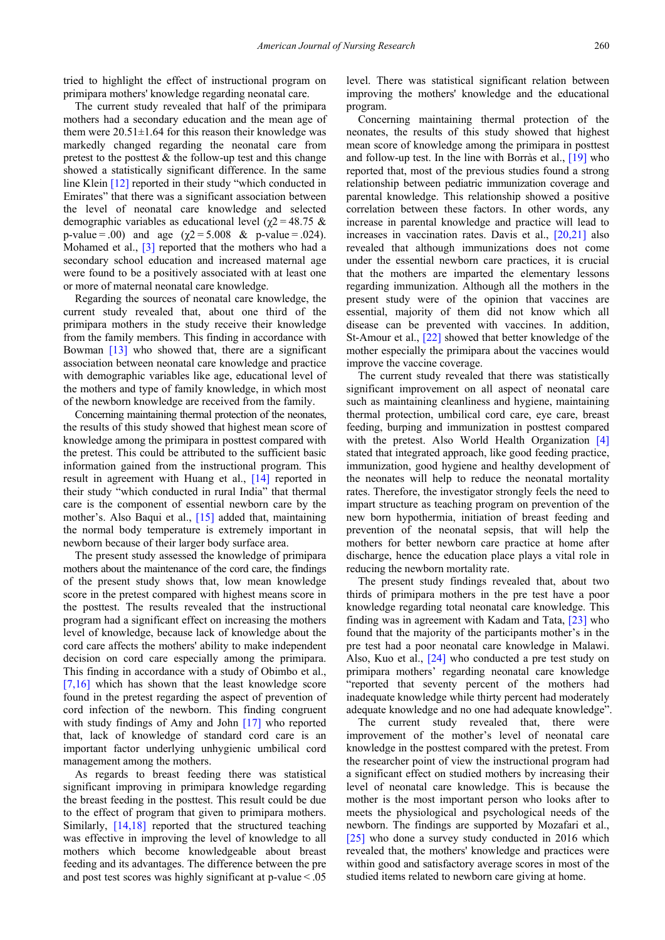tried to highlight the effect of instructional program on primipara mothers' knowledge regarding neonatal care.

The current study revealed that half of the primipara mothers had a secondary education and the mean age of them were  $20.51 \pm 1.64$  for this reason their knowledge was markedly changed regarding the neonatal care from pretest to the posttest  $\&$  the follow-up test and this change showed a statistically significant difference. In the same line Klein [\[12\]](#page-5-9) reported in their study "which conducted in Emirates" that there was a significant association between the level of neonatal care knowledge and selected demographic variables as educational level ( $χ$ 2 = 48.75 & p-value = .00) and age ( $χ$ 2 = 5.008 & p-value = .024). Mohamed et al., [\[3\]](#page-5-1) reported that the mothers who had a secondary school education and increased maternal age were found to be a positively associated with at least one or more of maternal neonatal care knowledge.

Regarding the sources of neonatal care knowledge, the current study revealed that, about one third of the primipara mothers in the study receive their knowledge from the family members. This finding in accordance with Bowman [\[13\]](#page-5-10) who showed that, there are a significant association between neonatal care knowledge and practice with demographic variables like age, educational level of the mothers and type of family knowledge, in which most of the newborn knowledge are received from the family.

Concerning maintaining thermal protection of the neonates, the results of this study showed that highest mean score of knowledge among the primipara in posttest compared with the pretest. This could be attributed to the sufficient basic information gained from the instructional program. This result in agreement with Huang et al., [\[14\]](#page-5-11) reported in their study "which conducted in rural India" that thermal care is the component of essential newborn care by the mother's. Also Baqui et al., [\[15\]](#page-5-12) added that, maintaining the normal body temperature is extremely important in newborn because of their larger body surface area.

The present study assessed the knowledge of primipara mothers about the maintenance of the cord care, the findings of the present study shows that, low mean knowledge score in the pretest compared with highest means score in the posttest. The results revealed that the instructional program had a significant effect on increasing the mothers level of knowledge, because lack of knowledge about the cord care affects the mothers' ability to make independent decision on cord care especially among the primipara. This finding in accordance with a study of Obimbo et al., [\[7,16\]](#page-5-4) which has shown that the least knowledge score found in the pretest regarding the aspect of prevention of cord infection of the newborn. This finding congruent with study findings of Amy and John [\[17\]](#page-5-13) who reported that, lack of knowledge of standard cord care is an important factor underlying unhygienic umbilical cord management among the mothers.

As regards to breast feeding there was statistical significant improving in primipara knowledge regarding the breast feeding in the posttest. This result could be due to the effect of program that given to primipara mothers. Similarly, [\[14,18\]](#page-5-11) reported that the structured teaching was effective in improving the level of knowledge to all mothers which become knowledgeable about breast feeding and its advantages. The difference between the pre and post test scores was highly significant at  $p$ -value $\leq 0.05$  level. There was statistical significant relation between improving the mothers' knowledge and the educational program.

Concerning maintaining thermal protection of the neonates, the results of this study showed that highest mean score of knowledge among the primipara in posttest and follow-up test. In the line with Borràs et al., [\[19\]](#page-5-14) who reported that, most of the previous studies found a strong relationship between pediatric immunization coverage and parental knowledge. This relationship showed a positive correlation between these factors. In other words, any increase in parental knowledge and practice will lead to increases in vaccination rates. Davis et al., [\[20,21\]](#page-5-15) also revealed that although immunizations does not come under the essential newborn care practices, it is crucial that the mothers are imparted the elementary lessons regarding immunization. Although all the mothers in the present study were of the opinion that vaccines are essential, majority of them did not know which all disease can be prevented with vaccines. In addition, St-Amour et al., [\[22\]](#page-5-16) showed that better knowledge of the mother especially the primipara about the vaccines would improve the vaccine coverage.

The current study revealed that there was statistically significant improvement on all aspect of neonatal care such as maintaining cleanliness and hygiene, maintaining thermal protection, umbilical cord care, eye care, breast feeding, burping and immunization in posttest compared with the pretest. Also World Health Organization [\[4\]](#page-5-2) stated that integrated approach, like good feeding practice, immunization, good hygiene and healthy development of the neonates will help to reduce the neonatal mortality rates. Therefore, the investigator strongly feels the need to impart structure as teaching program on prevention of the new born hypothermia, initiation of breast feeding and prevention of the neonatal sepsis, that will help the mothers for better newborn care practice at home after discharge, hence the education place plays a vital role in reducing the newborn mortality rate.

The present study findings revealed that, about two thirds of primipara mothers in the pre test have a poor knowledge regarding total neonatal care knowledge. This finding was in agreement with Kadam and Tata, [\[23\]](#page-5-17) who found that the majority of the participants mother's in the pre test had a poor neonatal care knowledge in Malawi. Also, Kuo et al., [\[24\]](#page-5-18) who conducted a pre test study on primipara mothers' regarding neonatal care knowledge "reported that seventy percent of the mothers had inadequate knowledge while thirty percent had moderately adequate knowledge and no one had adequate knowledge".

The current study revealed that, there were improvement of the mother's level of neonatal care knowledge in the posttest compared with the pretest. From the researcher point of view the instructional program had a significant effect on studied mothers by increasing their level of neonatal care knowledge. This is because the mother is the most important person who looks after to meets the physiological and psychological needs of the newborn. The findings are supported by Mozafari et al., [\[25\]](#page-5-19) who done a survey study conducted in 2016 which revealed that, the mothers' knowledge and practices were within good and satisfactory average scores in most of the studied items related to newborn care giving at home.